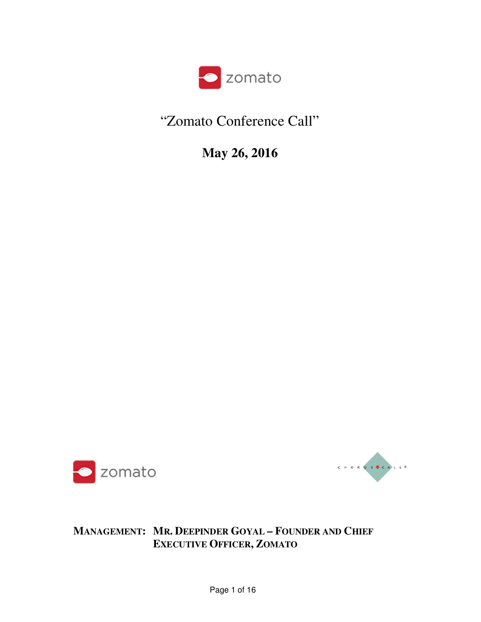

## "Zomato Conference Call"

**May 26, 2016** 





## **MANAGEMENT: MR. DEEPINDER GOYAL – FOUNDER AND CHIEF EXECUTIVE OFFICER, ZOMATO**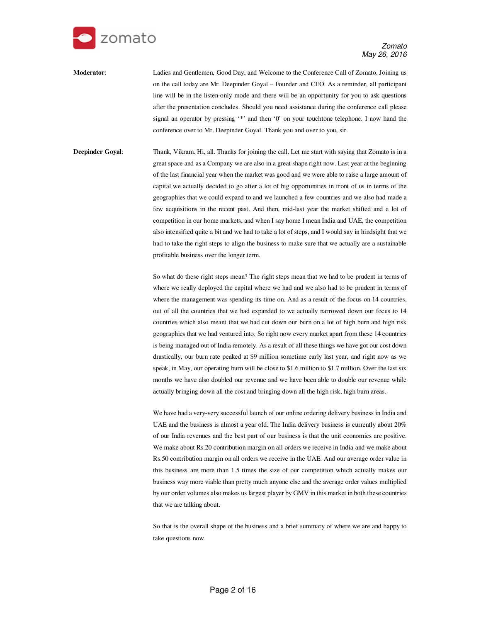

**Moderator**: Ladies and Gentlemen, Good Day, and Welcome to the Conference Call of Zomato. Joining us on the call today are Mr. Deepinder Goyal – Founder and CEO. As a reminder, all participant line will be in the listen-only mode and there will be an opportunity for you to ask questions after the presentation concludes. Should you need assistance during the conference call please signal an operator by pressing '\*' and then '0' on your touchtone telephone. I now hand the conference over to Mr. Deepinder Goyal. Thank you and over to you, sir.

**Deepinder Goyal**: Thank, Vikram. Hi, all. Thanks for joining the call. Let me start with saying that Zomato is in a great space and as a Company we are also in a great shape right now. Last year at the beginning of the last financial year when the market was good and we were able to raise a large amount of capital we actually decided to go after a lot of big opportunities in front of us in terms of the geographies that we could expand to and we launched a few countries and we also had made a few acquisitions in the recent past. And then, mid-last year the market shifted and a lot of competition in our home markets, and when I say home I mean India and UAE, the competition also intensified quite a bit and we had to take a lot of steps, and I would say in hindsight that we had to take the right steps to align the business to make sure that we actually are a sustainable profitable business over the longer term.

> So what do these right steps mean? The right steps mean that we had to be prudent in terms of where we really deployed the capital where we had and we also had to be prudent in terms of where the management was spending its time on. And as a result of the focus on 14 countries, out of all the countries that we had expanded to we actually narrowed down our focus to 14 countries which also meant that we had cut down our burn on a lot of high burn and high risk geographies that we had ventured into. So right now every market apart from these 14 countries is being managed out of India remotely. As a result of all these things we have got our cost down drastically, our burn rate peaked at \$9 million sometime early last year, and right now as we speak, in May, our operating burn will be close to \$1.6 million to \$1.7 million. Over the last six months we have also doubled our revenue and we have been able to double our revenue while actually bringing down all the cost and bringing down all the high risk, high burn areas.

> We have had a very-very successful launch of our online ordering delivery business in India and UAE and the business is almost a year old. The India delivery business is currently about 20% of our India revenues and the best part of our business is that the unit economics are positive. We make about Rs.20 contribution margin on all orders we receive in India and we make about Rs.50 contribution margin on all orders we receive in the UAE. And our average order value in this business are more than 1.5 times the size of our competition which actually makes our business way more viable than pretty much anyone else and the average order values multiplied by our order volumes also makes us largest player by GMV in this market in both these countries that we are talking about.

> So that is the overall shape of the business and a brief summary of where we are and happy to take questions now.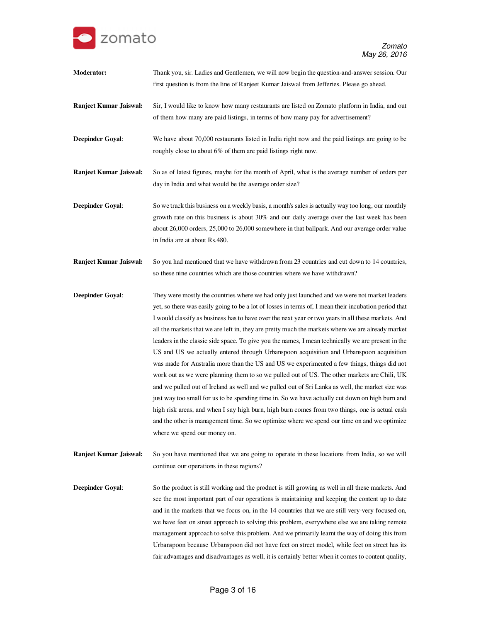

| Moderator:                    | Thank you, sir. Ladies and Gentlemen, we will now begin the question-and-answer session. Our<br>first question is from the line of Ranjeet Kumar Jaiswal from Jefferies. Please go ahead.                                                                                                                                                                                                                                                                                                                                                                                                                                                                                                                                                                                                                                                                                                                                                                                                                                                                                                                                                                                                                                                                 |
|-------------------------------|-----------------------------------------------------------------------------------------------------------------------------------------------------------------------------------------------------------------------------------------------------------------------------------------------------------------------------------------------------------------------------------------------------------------------------------------------------------------------------------------------------------------------------------------------------------------------------------------------------------------------------------------------------------------------------------------------------------------------------------------------------------------------------------------------------------------------------------------------------------------------------------------------------------------------------------------------------------------------------------------------------------------------------------------------------------------------------------------------------------------------------------------------------------------------------------------------------------------------------------------------------------|
| <b>Ranjeet Kumar Jaiswal:</b> | Sir, I would like to know how many restaurants are listed on Zomato platform in India, and out<br>of them how many are paid listings, in terms of how many pay for advertisement?                                                                                                                                                                                                                                                                                                                                                                                                                                                                                                                                                                                                                                                                                                                                                                                                                                                                                                                                                                                                                                                                         |
| <b>Deepinder Goyal:</b>       | We have about 70,000 restaurants listed in India right now and the paid listings are going to be<br>roughly close to about 6% of them are paid listings right now.                                                                                                                                                                                                                                                                                                                                                                                                                                                                                                                                                                                                                                                                                                                                                                                                                                                                                                                                                                                                                                                                                        |
| Ranjeet Kumar Jaiswal:        | So as of latest figures, maybe for the month of April, what is the average number of orders per<br>day in India and what would be the average order size?                                                                                                                                                                                                                                                                                                                                                                                                                                                                                                                                                                                                                                                                                                                                                                                                                                                                                                                                                                                                                                                                                                 |
| <b>Deepinder Goyal:</b>       | So we track this business on a weekly basis, a month's sales is actually way too long, our monthly<br>growth rate on this business is about $30\%$ and our daily average over the last week has been<br>about 26,000 orders, 25,000 to 26,000 somewhere in that ballpark. And our average order value<br>in India are at about Rs.480.                                                                                                                                                                                                                                                                                                                                                                                                                                                                                                                                                                                                                                                                                                                                                                                                                                                                                                                    |
| <b>Ranjeet Kumar Jaiswal:</b> | So you had mentioned that we have withdrawn from 23 countries and cut down to 14 countries,<br>so these nine countries which are those countries where we have withdrawn?                                                                                                                                                                                                                                                                                                                                                                                                                                                                                                                                                                                                                                                                                                                                                                                                                                                                                                                                                                                                                                                                                 |
| <b>Deepinder Goyal:</b>       | They were mostly the countries where we had only just launched and we were not market leaders<br>yet, so there was easily going to be a lot of losses in terms of, I mean their incubation period that<br>I would classify as business has to have over the next year or two years in all these markets. And<br>all the markets that we are left in, they are pretty much the markets where we are already market<br>leaders in the classic side space. To give you the names, I mean technically we are present in the<br>US and US we actually entered through Urbanspoon acquisition and Urbanspoon acquisition<br>was made for Australia more than the US and US we experimented a few things, things did not<br>work out as we were planning them to so we pulled out of US. The other markets are Chili, UK<br>and we pulled out of Ireland as well and we pulled out of Sri Lanka as well, the market size was<br>just way too small for us to be spending time in. So we have actually cut down on high burn and<br>high risk areas, and when I say high burn, high burn comes from two things, one is actual cash<br>and the other is management time. So we optimize where we spend our time on and we optimize<br>where we spend our money on. |
| <b>Ranjeet Kumar Jaiswal:</b> | So you have mentioned that we are going to operate in these locations from India, so we will<br>continue our operations in these regions?                                                                                                                                                                                                                                                                                                                                                                                                                                                                                                                                                                                                                                                                                                                                                                                                                                                                                                                                                                                                                                                                                                                 |

**Deepinder Goyal**: So the product is still working and the product is still growing as well in all these markets. And see the most important part of our operations is maintaining and keeping the content up to date and in the markets that we focus on, in the 14 countries that we are still very-very focused on, we have feet on street approach to solving this problem, everywhere else we are taking remote management approach to solve this problem. And we primarily learnt the way of doing this from Urbanspoon because Urbanspoon did not have feet on street model, while feet on street has its fair advantages and disadvantages as well, it is certainly better when it comes to content quality,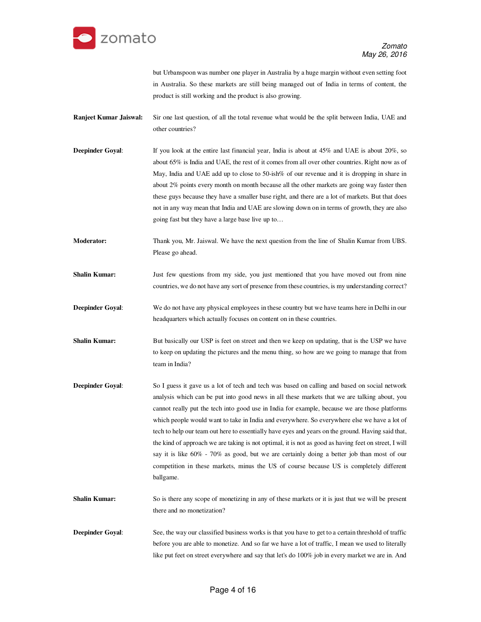

but Urbanspoon was number one player in Australia by a huge margin without even setting foot in Australia. So these markets are still being managed out of India in terms of content, the product is still working and the product is also growing.

- **Ranjeet Kumar Jaiswal:** Sir one last question, of all the total revenue what would be the split between India, UAE and other countries?
- **Deepinder Goyal:** If you look at the entire last financial year, India is about at 45% and UAE is about 20%, so about 65% is India and UAE, the rest of it comes from all over other countries. Right now as of May, India and UAE add up to close to 50-ish% of our revenue and it is dropping in share in about 2% points every month on month because all the other markets are going way faster then these guys because they have a smaller base right, and there are a lot of markets. But that does not in any way mean that India and UAE are slowing down on in terms of growth, they are also going fast but they have a large base live up to…
- **Moderator:** Thank you, Mr. Jaiswal. We have the next question from the line of Shalin Kumar from UBS. Please go ahead.
- **Shalin Kumar:** Just few questions from my side, you just mentioned that you have moved out from nine countries, we do not have any sort of presence from these countries, is my understanding correct?
- **Deepinder Goyal:** We do not have any physical employees in these country but we have teams here in Delhi in our headquarters which actually focuses on content on in these countries.
- **Shalin Kumar:** But basically our USP is feet on street and then we keep on updating, that is the USP we have to keep on updating the pictures and the menu thing, so how are we going to manage that from team in India?
- **Deepinder Goyal:** So I guess it gave us a lot of tech and tech was based on calling and based on social network analysis which can be put into good news in all these markets that we are talking about, you cannot really put the tech into good use in India for example, because we are those platforms which people would want to take in India and everywhere. So everywhere else we have a lot of tech to help our team out here to essentially have eyes and years on the ground. Having said that, the kind of approach we are taking is not optimal, it is not as good as having feet on street, I will say it is like 60% - 70% as good, but we are certainly doing a better job than most of our competition in these markets, minus the US of course because US is completely different ballgame.
- **Shalin Kumar:** So is there any scope of monetizing in any of these markets or it is just that we will be present there and no monetization?
- **Deepinder Goyal:** See, the way our classified business works is that you have to get to a certain threshold of traffic before you are able to monetize. And so far we have a lot of traffic, I mean we used to literally like put feet on street everywhere and say that let's do 100% job in every market we are in. And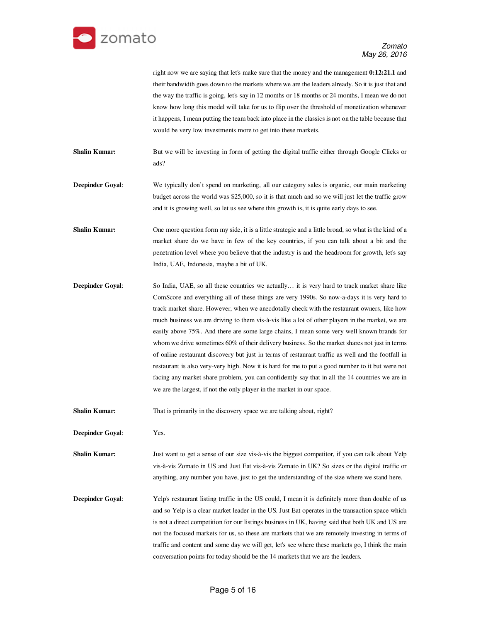

right now we are saying that let's make sure that the money and the management **0:12:21.1** and their bandwidth goes down to the markets where we are the leaders already. So it is just that and the way the traffic is going, let's say in 12 months or 18 months or 24 months, I mean we do not know how long this model will take for us to flip over the threshold of monetization whenever it happens, I mean putting the team back into place in the classics is not on the table because that would be very low investments more to get into these markets.

**Shalin Kumar:** But we will be investing in form of getting the digital traffic either through Google Clicks or ads?

- **Deepinder Goyal**: We typically don't spend on marketing, all our category sales is organic, our main marketing budget across the world was \$25,000, so it is that much and so we will just let the traffic grow and it is growing well, so let us see where this growth is, it is quite early days to see.
- **Shalin Kumar:** One more question form my side, it is a little strategic and a little broad, so what is the kind of a market share do we have in few of the key countries, if you can talk about a bit and the penetration level where you believe that the industry is and the headroom for growth, let's say India, UAE, Indonesia, maybe a bit of UK.
- **Deepinder Goyal:** So India, UAE, so all these countries we actually... it is very hard to track market share like ComScore and everything all of these things are very 1990s. So now-a-days it is very hard to track market share. However, when we anecdotally check with the restaurant owners, like how much business we are driving to them vis-à-vis like a lot of other players in the market, we are easily above 75%. And there are some large chains, I mean some very well known brands for whom we drive sometimes 60% of their delivery business. So the market shares not just in terms of online restaurant discovery but just in terms of restaurant traffic as well and the footfall in restaurant is also very-very high. Now it is hard for me to put a good number to it but were not facing any market share problem, you can confidently say that in all the 14 countries we are in we are the largest, if not the only player in the market in our space.

**Shalin Kumar:** That is primarily in the discovery space we are talking about, right?

**Deepinder Goyal**: Yes.

**Shalin Kumar:** Just want to get a sense of our size vis-à-vis the biggest competitor, if you can talk about Yelp vis-à-vis Zomato in US and Just Eat vis-à-vis Zomato in UK? So sizes or the digital traffic or anything, any number you have, just to get the understanding of the size where we stand here.

**Deepinder Goyal:** Yelp's restaurant listing traffic in the US could, I mean it is definitely more than double of us and so Yelp is a clear market leader in the US. Just Eat operates in the transaction space which is not a direct competition for our listings business in UK, having said that both UK and US are not the focused markets for us, so these are markets that we are remotely investing in terms of traffic and content and some day we will get, let's see where these markets go, I think the main conversation points for today should be the 14 markets that we are the leaders.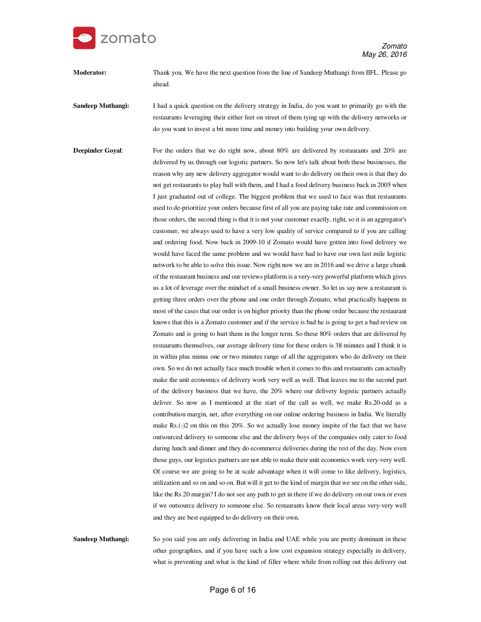

**Moderator:** Thank you. We have the next question from the line of Sandeep Muthangi from IIFL. Please go ahead.

**Sandeep Muthangi:** I had a quick question on the delivery strategy in India, do you want to primarily go with the restaurants leveraging their either feet on street of them tying up with the delivery networks or do you want to invest a bit more time and money into building your own delivery.

**Deepinder Goyal:** For the orders that we do right now, about 80% are delivered by restaurants and 20% are delivered by us through our logistic partners. So now let's talk about both these businesses, the reason why any new delivery aggregator would want to do delivery on their own is that they do not get restaurants to play ball with them, and I had a food delivery business back in 2005 when I just graduated out of college. The biggest problem that we used to face was that restaurants used to de-prioritize your orders because first of all you are paying take rate and commission on those orders, the second thing is that it is not your customer exactly, right, so it is an aggregator's customer, we always used to have a very low quality of service compared to if you are calling and ordering food. Now back in 2009-10 if Zomato would have gotten into food delivery we would have faced the same problem and we would have had to have our own last mile logistic network to be able to solve this issue. Now right now we are in 2016 and we drive a large chunk of the restaurant business and our reviews platform is a very-very powerful platform which gives us a lot of leverage over the mindset of a small business owner. So let us say now a restaurant is getting three orders over the phone and one order through Zomato, what practically happens in most of the cases that our order is on higher priority than the phone order because the restaurant knows that this is a Zomato customer and if the service is bad he is going to get a bad review on Zomato and is going to hurt them in the longer term. So these 80% orders that are delivered by restaurants themselves, our average delivery time for these orders is 38 minutes and I think it is in within plus minus one or two minutes range of all the aggregators who do delivery on their own. So we do not actually face much trouble when it comes to this and restaurants can actually make the unit economics of delivery work very well as well. That leaves me to the second part of the delivery business that we have, the 20% where our delivery logistic partners actually deliver. So now as I mentioned at the start of the call as well, we make Rs.20-odd as a contribution margin, net, after everything on our online ordering business in India. We literally make Rs.(-)2 on this on this 20%. So we actually lose money inspite of the fact that we have outsourced delivery to someone else and the delivery boys of the companies only cater to food during lunch and dinner and they do ecommerce deliveries during the rest of the day. Now even those guys, our logistics partners are not able to make their unit economics work very-very well. Of course we are going to be at scale advantage when it will come to like delivery, logistics, utilization and so on and so on. But will it get to the kind of margin that we see on the other side, like the Rs.20 margin? I do not see any path to get in there if we do delivery on our own or even if we outsource delivery to someone else. So restaurants know their local areas very-very well and they are best equipped to do delivery on their own.

**Sandeep Muthangi:** So you said you are only delivering in India and UAE while you are pretty dominant in these other geographies, and if you have such a low cost expansion strategy especially in delivery, what is preventing and what is the kind of filler where while from rolling out this delivery out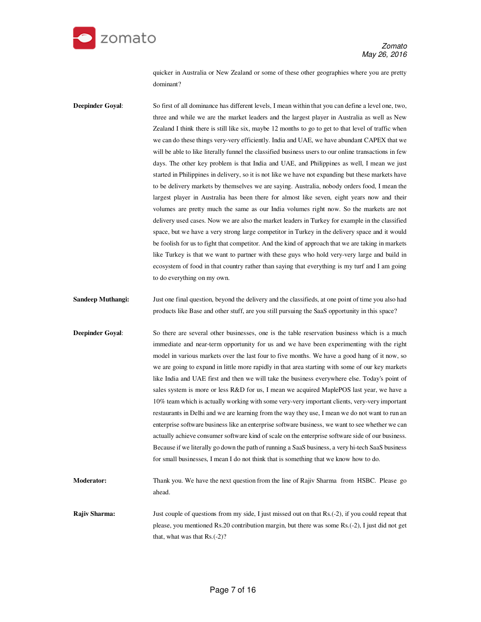

quicker in Australia or New Zealand or some of these other geographies where you are pretty dominant?

**Deepinder Goyal:** So first of all dominance has different levels, I mean within that you can define a level one, two, three and while we are the market leaders and the largest player in Australia as well as New Zealand I think there is still like six, maybe 12 months to go to get to that level of traffic when we can do these things very-very efficiently. India and UAE, we have abundant CAPEX that we will be able to like literally funnel the classified business users to our online transactions in few days. The other key problem is that India and UAE, and Philippines as well, I mean we just started in Philippines in delivery, so it is not like we have not expanding but these markets have to be delivery markets by themselves we are saying. Australia, nobody orders food, I mean the largest player in Australia has been there for almost like seven, eight years now and their volumes are pretty much the same as our India volumes right now. So the markets are not delivery used cases. Now we are also the market leaders in Turkey for example in the classified space, but we have a very strong large competitor in Turkey in the delivery space and it would be foolish for us to fight that competitor. And the kind of approach that we are taking in markets like Turkey is that we want to partner with these guys who hold very-very large and build in ecosystem of food in that country rather than saying that everything is my turf and I am going to do everything on my own.

- **Sandeep Muthangi:** Just one final question, beyond the delivery and the classifieds, at one point of time you also had products like Base and other stuff, are you still pursuing the SaaS opportunity in this space?
- **Deepinder Goyal:** So there are several other businesses, one is the table reservation business which is a much immediate and near-term opportunity for us and we have been experimenting with the right model in various markets over the last four to five months. We have a good hang of it now, so we are going to expand in little more rapidly in that area starting with some of our key markets like India and UAE first and then we will take the business everywhere else. Today's point of sales system is more or less R&D for us, I mean we acquired MaplePOS last year, we have a 10% team which is actually working with some very-very important clients, very-very important restaurants in Delhi and we are learning from the way they use, I mean we do not want to run an enterprise software business like an enterprise software business, we want to see whether we can actually achieve consumer software kind of scale on the enterprise software side of our business. Because if we literally go down the path of running a SaaS business, a very hi-tech SaaS business for small businesses, I mean I do not think that is something that we know how to do.
- **Moderator:** Thank you. We have the next question from the line of Rajiv Sharma from HSBC. Please go ahead.
- **Rajiv Sharma:** Just couple of questions from my side, I just missed out on that Rs.(-2), if you could repeat that please, you mentioned Rs.20 contribution margin, but there was some Rs.(-2), I just did not get that, what was that Rs.(-2)?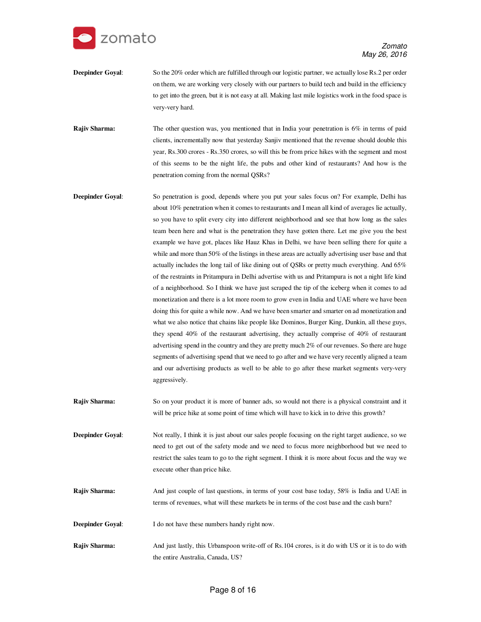

- **Deepinder Goyal:** So the 20% order which are fulfilled through our logistic partner, we actually lose Rs.2 per order on them, we are working very closely with our partners to build tech and build in the efficiency to get into the green, but it is not easy at all. Making last mile logistics work in the food space is very-very hard.
- **Rajiv Sharma:** The other question was, you mentioned that in India your penetration is 6% in terms of paid clients, incrementally now that yesterday Sanjiv mentioned that the revenue should double this year, Rs.300 crores - Rs.350 crores, so will this be from price hikes with the segment and most of this seems to be the night life, the pubs and other kind of restaurants? And how is the penetration coming from the normal QSRs?
- **Deepinder Goyal:** So penetration is good, depends where you put your sales focus on? For example, Delhi has about 10% penetration when it comes to restaurants and I mean all kind of averages lie actually, so you have to split every city into different neighborhood and see that how long as the sales team been here and what is the penetration they have gotten there. Let me give you the best example we have got, places like Hauz Khas in Delhi, we have been selling there for quite a while and more than 50% of the listings in these areas are actually advertising user base and that actually includes the long tail of like dining out of QSRs or pretty much everything. And 65% of the restraints in Pritampura in Delhi advertise with us and Pritampura is not a night life kind of a neighborhood. So I think we have just scraped the tip of the iceberg when it comes to ad monetization and there is a lot more room to grow even in India and UAE where we have been doing this for quite a while now. And we have been smarter and smarter on ad monetization and what we also notice that chains like people like Dominos, Burger King, Dunkin, all these guys, they spend 40% of the restaurant advertising, they actually comprise of 40% of restaurant advertising spend in the country and they are pretty much 2% of our revenues. So there are huge segments of advertising spend that we need to go after and we have very recently aligned a team and our advertising products as well to be able to go after these market segments very-very aggressively.
- **Rajiv Sharma:** So on your product it is more of banner ads, so would not there is a physical constraint and it will be price hike at some point of time which will have to kick in to drive this growth?
- **Deepinder Goyal**: Not really, I think it is just about our sales people focusing on the right target audience, so we need to get out of the safety mode and we need to focus more neighborhood but we need to restrict the sales team to go to the right segment. I think it is more about focus and the way we execute other than price hike.
- **Rajiv Sharma:** And just couple of last questions, in terms of your cost base today, 58% is India and UAE in terms of revenues, what will these markets be in terms of the cost base and the cash burn?
- **Deepinder Goyal:** I do not have these numbers handy right now.
- **Rajiv Sharma:** And just lastly, this Urbanspoon write-off of Rs.104 crores, is it do with US or it is to do with the entire Australia, Canada, US?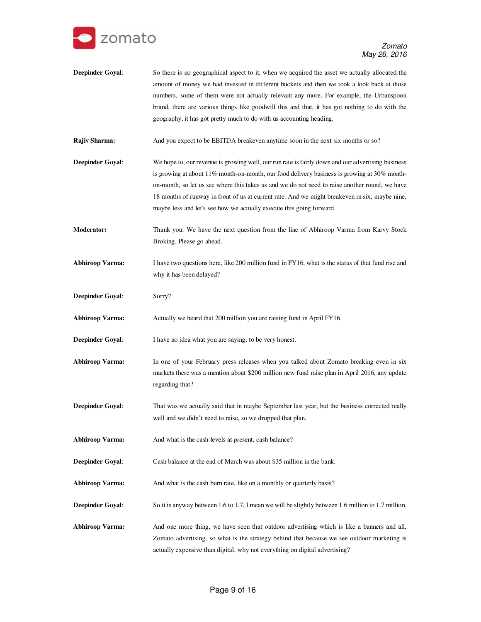

**Deepinder Goyal:** So there is no geographical aspect to it, when we acquired the asset we actually allocated the amount of money we had invested in different buckets and then we took a look back at those numbers, some of them were not actually relevant any more. For example, the Urbanspoon brand, there are various things like goodwill this and that, it has got nothing to do with the geography, it has got pretty much to do with us accounting heading.

**Rajiv Sharma:** And you expect to be EBITDA breakeven anytime soon in the next six months or so?

- **Deepinder Goyal:** We hope to, our revenue is growing well, our run rate is fairly down and our advertising business is growing at about 11% month-on-month, our food delivery business is growing at 30% monthon-month, so let us see where this takes us and we do not need to raise another round, we have 18 months of runway in front of us at current rate. And we might breakeven in six, maybe nine, maybe less and let's see how we actually execute this going forward.
- **Moderator:** Thank you. We have the next question from the line of Abhiroop Varma from Karvy Stock Broking. Please go ahead.
- **Abhiroop Varma:** I have two questions here, like 200 million fund in FY16, what is the status of that fund rise and why it has been delayed?
- **Deepinder Goyal**: Sorry?

**Abhiroop Varma:** Actually we heard that 200 million you are raising fund in April FY16.

**Deepinder Goyal:** I have no idea what you are saying, to be very honest.

- **Abhiroop Varma:** In one of your February press releases when you talked about Zomato breaking even in six markets there was a mention about \$200 million new fund raise plan in April 2016, any update regarding that?
- **Deepinder Goyal:** That was we actually said that in maybe September last year, but the business corrected really well and we didn't need to raise, so we dropped that plan.

Abhiroop Varma: And what is the cash levels at present, cash balance?

- **Deepinder Goyal:** Cash balance at the end of March was about \$35 million in the bank.
- Abhiroop Varma: And what is the cash burn rate, like on a monthly or quarterly basis?
- **Deepinder Goyal**: So it is anyway between 1.6 to 1.7, I mean we will be slightly between 1.6 million to 1.7 million.
- **Abhiroop Varma:** And one more thing, we have seen that outdoor advertising which is like a banners and all, Zomato advertising, so what is the strategy behind that because we see outdoor marketing is actually expensive than digital, why not everything on digital advertising?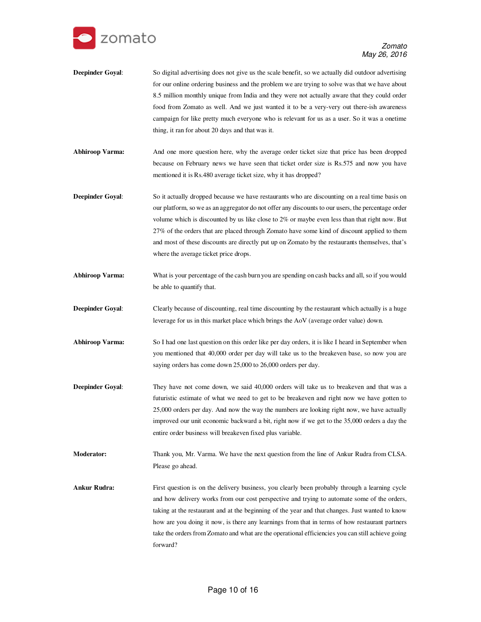

- **Deepinder Goyal:** So digital advertising does not give us the scale benefit, so we actually did outdoor advertising for our online ordering business and the problem we are trying to solve was that we have about 8.5 million monthly unique from India and they were not actually aware that they could order food from Zomato as well. And we just wanted it to be a very-very out there-ish awareness campaign for like pretty much everyone who is relevant for us as a user. So it was a onetime thing, it ran for about 20 days and that was it.
- **Abhiroop Varma:** And one more question here, why the average order ticket size that price has been dropped because on February news we have seen that ticket order size is Rs.575 and now you have mentioned it is Rs.480 average ticket size, why it has dropped?
- **Deepinder Goyal:** So it actually dropped because we have restaurants who are discounting on a real time basis on our platform, so we as an aggregator do not offer any discounts to our users, the percentage order volume which is discounted by us like close to 2% or maybe even less than that right now. But 27% of the orders that are placed through Zomato have some kind of discount applied to them and most of these discounts are directly put up on Zomato by the restaurants themselves, that's where the average ticket price drops.
- **Abhiroop Varma:** What is your percentage of the cash burn you are spending on cash backs and all, so if you would be able to quantify that.
- **Deepinder Goyal:** Clearly because of discounting, real time discounting by the restaurant which actually is a huge leverage for us in this market place which brings the AoV (average order value) down.
- **Abhiroop Varma:** So I had one last question on this order like per day orders, it is like I heard in September when you mentioned that 40,000 order per day will take us to the breakeven base, so now you are saying orders has come down 25,000 to 26,000 orders per day.
- **Deepinder Goyal:** They have not come down, we said 40,000 orders will take us to breakeven and that was a futuristic estimate of what we need to get to be breakeven and right now we have gotten to 25,000 orders per day. And now the way the numbers are looking right now, we have actually improved our unit economic backward a bit, right now if we get to the 35,000 orders a day the entire order business will breakeven fixed plus variable.
- **Moderator:** Thank you, Mr. Varma. We have the next question from the line of Ankur Rudra from CLSA. Please go ahead.
- Ankur Rudra: First question is on the delivery business, you clearly been probably through a learning cycle and how delivery works from our cost perspective and trying to automate some of the orders, taking at the restaurant and at the beginning of the year and that changes. Just wanted to know how are you doing it now, is there any learnings from that in terms of how restaurant partners take the orders from Zomato and what are the operational efficiencies you can still achieve going forward?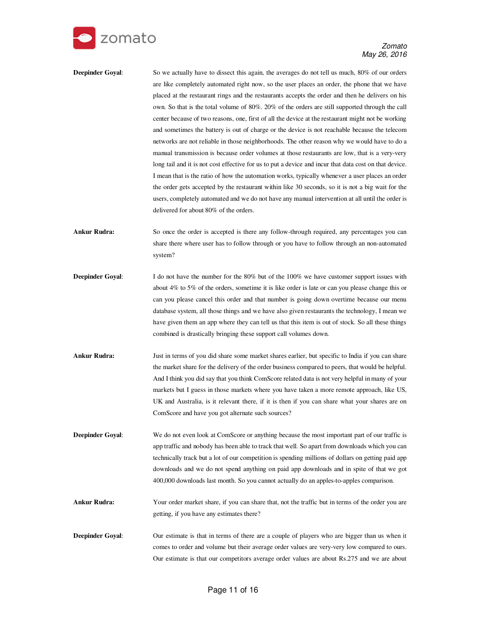

- **Deepinder Goyal:** So we actually have to dissect this again, the averages do not tell us much, 80% of our orders are like completely automated right now, so the user places an order, the phone that we have placed at the restaurant rings and the restaurants accepts the order and then he delivers on his own. So that is the total volume of 80%. 20% of the orders are still supported through the call center because of two reasons, one, first of all the device at the restaurant might not be working and sometimes the battery is out of charge or the device is not reachable because the telecom networks are not reliable in those neighborhoods. The other reason why we would have to do a manual transmission is because order volumes at those restaurants are low, that is a very-very long tail and it is not cost effective for us to put a device and incur that data cost on that device. I mean that is the ratio of how the automation works, typically whenever a user places an order the order gets accepted by the restaurant within like 30 seconds, so it is not a big wait for the users, completely automated and we do not have any manual intervention at all until the order is delivered for about 80% of the orders.
- **Ankur Rudra:** So once the order is accepted is there any follow-through required, any percentages you can share there where user has to follow through or you have to follow through an non-automated system?
- **Deepinder Goyal:** I do not have the number for the 80% but of the 100% we have customer support issues with about 4% to 5% of the orders, sometime it is like order is late or can you please change this or can you please cancel this order and that number is going down overtime because our menu database system, all those things and we have also given restaurants the technology, I mean we have given them an app where they can tell us that this item is out of stock. So all these things combined is drastically bringing these support call volumes down.
- **Ankur Rudra:** Just in terms of you did share some market shares earlier, but specific to India if you can share the market share for the delivery of the order business compared to peers, that would be helpful. And I think you did say that you think ComScore related data is not very helpful in many of your markets but I guess in those markets where you have taken a more remote approach, like US, UK and Australia, is it relevant there, if it is then if you can share what your shares are on ComScore and have you got alternate such sources?

**Deepinder Goyal:** We do not even look at ComScore or anything because the most important part of our traffic is app traffic and nobody has been able to track that well. So apart from downloads which you can technically track but a lot of our competition is spending millions of dollars on getting paid app downloads and we do not spend anything on paid app downloads and in spite of that we got 400,000 downloads last month. So you cannot actually do an apples-to-apples comparison.

- **Ankur Rudra:** Your order market share, if you can share that, not the traffic but in terms of the order you are getting, if you have any estimates there?
- **Deepinder Goyal**: Our estimate is that in terms of there are a couple of players who are bigger than us when it comes to order and volume but their average order values are very-very low compared to ours. Our estimate is that our competitors average order values are about Rs.275 and we are about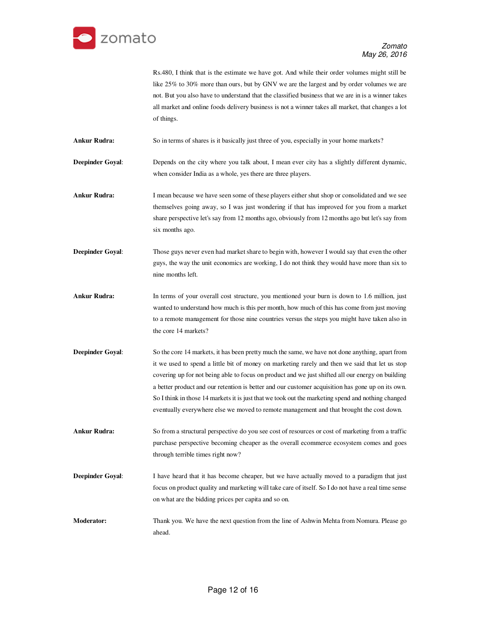

Rs.480, I think that is the estimate we have got. And while their order volumes might still be like 25% to 30% more than ours, but by GNV we are the largest and by order volumes we are not. But you also have to understand that the classified business that we are in is a winner takes all market and online foods delivery business is not a winner takes all market, that changes a lot of things.

**Ankur Rudra:** So in terms of shares is it basically just three of you, especially in your home markets?

**Deepinder Goyal:** Depends on the city where you talk about, I mean ever city has a slightly different dynamic, when consider India as a whole, yes there are three players.

**Ankur Rudra:** I mean because we have seen some of these players either shut shop or consolidated and we see themselves going away, so I was just wondering if that has improved for you from a market share perspective let's say from 12 months ago, obviously from 12 months ago but let's say from six months ago.

**Deepinder Goyal:** Those guys never even had market share to begin with, however I would say that even the other guys, the way the unit economics are working, I do not think they would have more than six to nine months left.

**Ankur Rudra:** In terms of your overall cost structure, you mentioned your burn is down to 1.6 million, just wanted to understand how much is this per month, how much of this has come from just moving to a remote management for those nine countries versus the steps you might have taken also in the core 14 markets?

**Deepinder Goyal:** So the core 14 markets, it has been pretty much the same, we have not done anything, apart from it we used to spend a little bit of money on marketing rarely and then we said that let us stop covering up for not being able to focus on product and we just shifted all our energy on building a better product and our retention is better and our customer acquisition has gone up on its own. So I think in those 14 markets it is just that we took out the marketing spend and nothing changed eventually everywhere else we moved to remote management and that brought the cost down.

**Ankur Rudra:** So from a structural perspective do you see cost of resources or cost of marketing from a traffic purchase perspective becoming cheaper as the overall ecommerce ecosystem comes and goes through terrible times right now?

**Deepinder Goyal:** I have heard that it has become cheaper, but we have actually moved to a paradigm that just focus on product quality and marketing will take care of itself. So I do not have a real time sense on what are the bidding prices per capita and so on.

**Moderator:** Thank you. We have the next question from the line of Ashwin Mehta from Nomura. Please go ahead.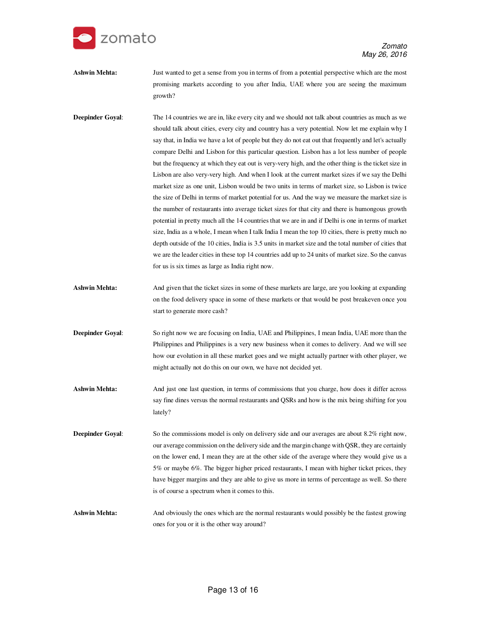

Ashwin Mehta: Just wanted to get a sense from you in terms of from a potential perspective which are the most promising markets according to you after India, UAE where you are seeing the maximum growth?

**Deepinder Goyal:** The 14 countries we are in, like every city and we should not talk about countries as much as we should talk about cities, every city and country has a very potential. Now let me explain why I say that, in India we have a lot of people but they do not eat out that frequently and let's actually compare Delhi and Lisbon for this particular question. Lisbon has a lot less number of people but the frequency at which they eat out is very-very high, and the other thing is the ticket size in Lisbon are also very-very high. And when I look at the current market sizes if we say the Delhi market size as one unit, Lisbon would be two units in terms of market size, so Lisbon is twice the size of Delhi in terms of market potential for us. And the way we measure the market size is the number of restaurants into average ticket sizes for that city and there is humongous growth potential in pretty much all the 14 countries that we are in and if Delhi is one in terms of market size, India as a whole, I mean when I talk India I mean the top 10 cities, there is pretty much no depth outside of the 10 cities, India is 3.5 units in market size and the total number of cities that we are the leader cities in these top 14 countries add up to 24 units of market size. So the canvas for us is six times as large as India right now.

- **Ashwin Mehta:** And given that the ticket sizes in some of these markets are large, are you looking at expanding on the food delivery space in some of these markets or that would be post breakeven once you start to generate more cash?
- **Deepinder Goyal:** So right now we are focusing on India, UAE and Philippines, I mean India, UAE more than the Philippines and Philippines is a very new business when it comes to delivery. And we will see how our evolution in all these market goes and we might actually partner with other player, we might actually not do this on our own, we have not decided yet.
- **Ashwin Mehta:** And just one last question, in terms of commissions that you charge, how does it differ across say fine dines versus the normal restaurants and QSRs and how is the mix being shifting for you lately?
- **Deepinder Goyal:** So the commissions model is only on delivery side and our averages are about 8.2% right now, our average commission on the delivery side and the margin change with QSR, they are certainly on the lower end, I mean they are at the other side of the average where they would give us a 5% or maybe 6%. The bigger higher priced restaurants, I mean with higher ticket prices, they have bigger margins and they are able to give us more in terms of percentage as well. So there is of course a spectrum when it comes to this.

Ashwin Mehta: And obviously the ones which are the normal restaurants would possibly be the fastest growing ones for you or it is the other way around?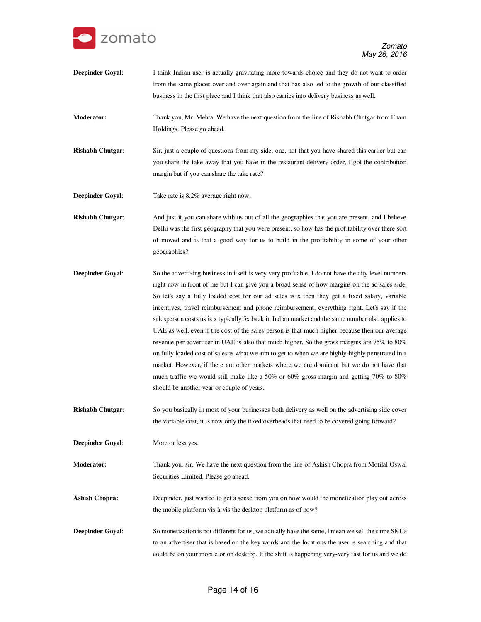

**Deepinder Goyal:** I think Indian user is actually gravitating more towards choice and they do not want to order from the same places over and over again and that has also led to the growth of our classified business in the first place and I think that also carries into delivery business as well.

**Moderator:** Thank you, Mr. Mehta. We have the next question from the line of Rishabh Chutgar from Enam Holdings. Please go ahead.

**Rishabh Chutgar**: Sir, just a couple of questions from my side, one, not that you have shared this earlier but can you share the take away that you have in the restaurant delivery order, I got the contribution margin but if you can share the take rate?

**Deepinder Goyal:** Take rate is 8.2% average right now.

**Rishabh Chutgar:** And just if you can share with us out of all the geographies that you are present, and I believe Delhi was the first geography that you were present, so how has the profitability over there sort of moved and is that a good way for us to build in the profitability in some of your other geographies?

- **Deepinder Goyal:** So the advertising business in itself is very-very profitable, I do not have the city level numbers right now in front of me but I can give you a broad sense of how margins on the ad sales side. So let's say a fully loaded cost for our ad sales is x then they get a fixed salary, variable incentives, travel reimbursement and phone reimbursement, everything right. Let's say if the salesperson costs us is x typically 5x back in Indian market and the same number also applies to UAE as well, even if the cost of the sales person is that much higher because then our average revenue per advertiser in UAE is also that much higher. So the gross margins are 75% to 80% on fully loaded cost of sales is what we aim to get to when we are highly-highly penetrated in a market. However, if there are other markets where we are dominant but we do not have that much traffic we would still make like a 50% or 60% gross margin and getting 70% to 80% should be another year or couple of years.
- **Rishabh Chutgar**: So you basically in most of your businesses both delivery as well on the advertising side cover the variable cost, it is now only the fixed overheads that need to be covered going forward?
- **Deepinder Goyal**: More or less yes.

**Moderator:** Thank you, sir. We have the next question from the line of Ashish Chopra from Motilal Oswal Securities Limited. Please go ahead.

**Ashish Chopra:** Deepinder, just wanted to get a sense from you on how would the monetization play out across the mobile platform vis-à-vis the desktop platform as of now?

**Deepinder Goyal**: So monetization is not different for us, we actually have the same, I mean we sell the same SKUs to an advertiser that is based on the key words and the locations the user is searching and that could be on your mobile or on desktop. If the shift is happening very-very fast for us and we do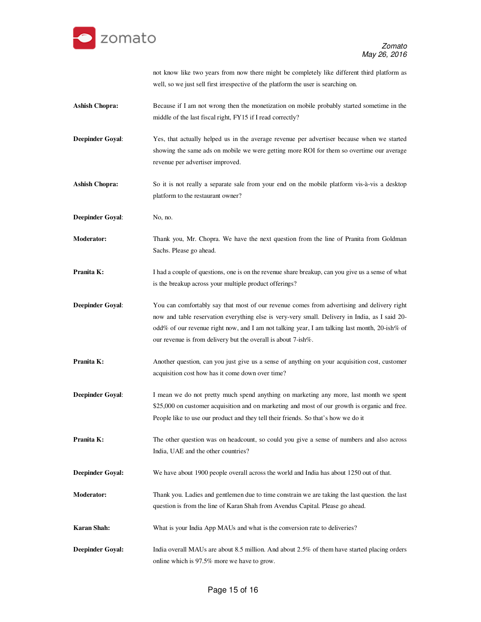

not know like two years from now there might be completely like different third platform as well, so we just sell first irrespective of the platform the user is searching on.

- **Ashish Chopra:** Because if I am not wrong then the monetization on mobile probably started sometime in the middle of the last fiscal right, FY15 if I read correctly?
- **Deepinder Goyal**: Yes, that actually helped us in the average revenue per advertiser because when we started showing the same ads on mobile we were getting more ROI for them so overtime our average revenue per advertiser improved.
- **Ashish Chopra:** So it is not really a separate sale from your end on the mobile platform vis-à-vis a desktop platform to the restaurant owner?
- **Deepinder Goyal:** No, no.

**Moderator:** Thank you, Mr. Chopra. We have the next question from the line of Pranita from Goldman Sachs. Please go ahead.

- **Pranita K:** I had a couple of questions, one is on the revenue share breakup, can you give us a sense of what is the breakup across your multiple product offerings?
- **Deepinder Goyal:** You can comfortably say that most of our revenue comes from advertising and delivery right now and table reservation everything else is very-very small. Delivery in India, as I said 20 odd% of our revenue right now, and I am not talking year, I am talking last month, 20-ish% of our revenue is from delivery but the overall is about 7-ish%.
- **Pranita K:** Another question, can you just give us a sense of anything on your acquisition cost, customer acquisition cost how has it come down over time?
- **Deepinder Goyal**: I mean we do not pretty much spend anything on marketing any more, last month we spent \$25,000 on customer acquisition and on marketing and most of our growth is organic and free. People like to use our product and they tell their friends. So that's how we do it
- **Pranita K:** The other question was on headcount, so could you give a sense of numbers and also across India, UAE and the other countries?
- **Deepinder Goyal:** We have about 1900 people overall across the world and India has about 1250 out of that.
- **Moderator:** Thank you. Ladies and gentlemen due to time constrain we are taking the last question. the last question is from the line of Karan Shah from Avendus Capital. Please go ahead.
- **Karan Shah:** What is your India App MAUs and what is the conversion rate to deliveries?
- **Deepinder Goyal:** India overall MAUs are about 8.5 million. And about 2.5% of them have started placing orders online which is 97.5% more we have to grow.